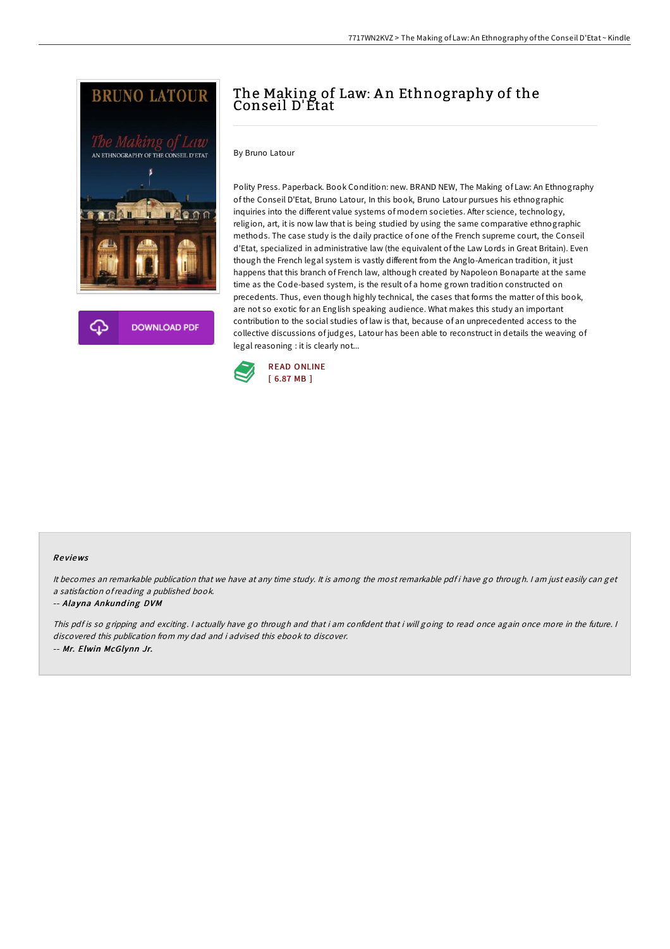



# The Making of Law: An Ethnography of the Conseil D'Etat

By Bruno Latour

Polity Press. Paperback. Book Condition: new. BRAND NEW, The Making of Law: An Ethnography of the Conseil D'Etat, Bruno Latour, In this book, Bruno Latour pursues his ethnographic inquiries into the different value systems of modern societies. After science, technology, religion, art, it is now law that is being studied by using the same comparative ethnographic methods. The case study is the daily practice of one of the French supreme court, the Conseil d'Etat, specialized in administrative law (the equivalent of the Law Lords in Great Britain). Even though the French legal system is vastly different from the Anglo-American tradition, it just happens that this branch of French law, although created by Napoleon Bonaparte at the same time as the Code-based system, is the result of a home grown tradition constructed on precedents. Thus, even though highly technical, the cases that forms the matter of this book, are not so exotic for an English speaking audience. What makes this study an important contribution to the social studies of law is that, because of an unprecedented access to the collective discussions of judges, Latour has been able to reconstruct in details the weaving of legal reasoning : it is clearly not...



### Re views

It becomes an remarkable publication that we have at any time study. It is among the most remarkable pdf i have go through. <sup>I</sup> am just easily can get <sup>a</sup> satisfaction ofreading <sup>a</sup> published book.

#### -- Alayna Ankund ing DVM

This pdf is so gripping and exciting. I actually have go through and that i am confident that i will going to read once again once more in the future. I discovered this publication from my dad and i advised this ebook to discover. -- Mr. Elwin McGlynn Jr.